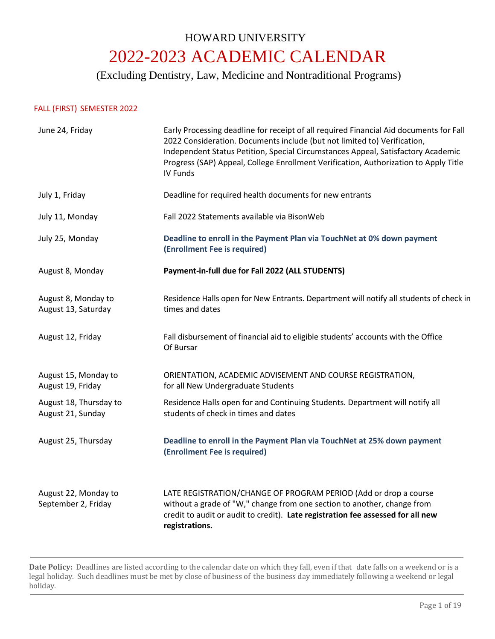# HOWARD UNIVERSITY 2022-2023 ACADEMIC CALENDAR

(Excluding Dentistry, Law, Medicine and Nontraditional Programs)

# FALL (FIRST) SEMESTER 2022

| June 24, Friday                             | Early Processing deadline for receipt of all required Financial Aid documents for Fall<br>2022 Consideration. Documents include (but not limited to) Verification,<br>Independent Status Petition, Special Circumstances Appeal, Satisfactory Academic<br>Progress (SAP) Appeal, College Enrollment Verification, Authorization to Apply Title<br>IV Funds |  |
|---------------------------------------------|------------------------------------------------------------------------------------------------------------------------------------------------------------------------------------------------------------------------------------------------------------------------------------------------------------------------------------------------------------|--|
| July 1, Friday                              | Deadline for required health documents for new entrants                                                                                                                                                                                                                                                                                                    |  |
| July 11, Monday                             | Fall 2022 Statements available via BisonWeb                                                                                                                                                                                                                                                                                                                |  |
| July 25, Monday                             | Deadline to enroll in the Payment Plan via TouchNet at 0% down payment<br>(Enrollment Fee is required)                                                                                                                                                                                                                                                     |  |
| August 8, Monday                            | Payment-in-full due for Fall 2022 (ALL STUDENTS)                                                                                                                                                                                                                                                                                                           |  |
| August 8, Monday to<br>August 13, Saturday  | Residence Halls open for New Entrants. Department will notify all students of check in<br>times and dates                                                                                                                                                                                                                                                  |  |
| August 12, Friday                           | Fall disbursement of financial aid to eligible students' accounts with the Office<br>Of Bursar                                                                                                                                                                                                                                                             |  |
| August 15, Monday to<br>August 19, Friday   | ORIENTATION, ACADEMIC ADVISEMENT AND COURSE REGISTRATION,<br>for all New Undergraduate Students                                                                                                                                                                                                                                                            |  |
| August 18, Thursday to<br>August 21, Sunday | Residence Halls open for and Continuing Students. Department will notify all<br>students of check in times and dates                                                                                                                                                                                                                                       |  |
| August 25, Thursday                         | Deadline to enroll in the Payment Plan via TouchNet at 25% down payment<br>(Enrollment Fee is required)                                                                                                                                                                                                                                                    |  |
| August 22, Monday to<br>September 2, Friday | LATE REGISTRATION/CHANGE OF PROGRAM PERIOD (Add or drop a course<br>without a grade of "W," change from one section to another, change from<br>credit to audit or audit to credit). Late registration fee assessed for all new<br>registrations.                                                                                                           |  |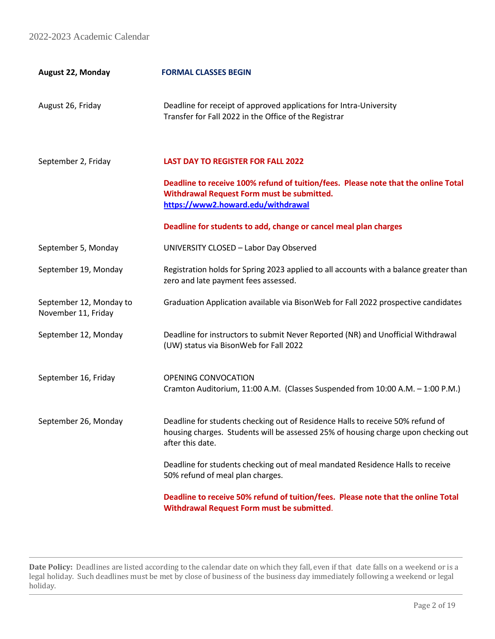| <b>August 22, Monday</b>                       | <b>FORMAL CLASSES BEGIN</b>                                                                                                                                                              |
|------------------------------------------------|------------------------------------------------------------------------------------------------------------------------------------------------------------------------------------------|
| August 26, Friday                              | Deadline for receipt of approved applications for Intra-University<br>Transfer for Fall 2022 in the Office of the Registrar                                                              |
| September 2, Friday                            | <b>LAST DAY TO REGISTER FOR FALL 2022</b>                                                                                                                                                |
|                                                | Deadline to receive 100% refund of tuition/fees. Please note that the online Total<br>Withdrawal Request Form must be submitted.<br>https://www2.howard.edu/withdrawal                   |
|                                                | Deadline for students to add, change or cancel meal plan charges                                                                                                                         |
| September 5, Monday                            | UNIVERSITY CLOSED - Labor Day Observed                                                                                                                                                   |
| September 19, Monday                           | Registration holds for Spring 2023 applied to all accounts with a balance greater than<br>zero and late payment fees assessed.                                                           |
| September 12, Monday to<br>November 11, Friday | Graduation Application available via BisonWeb for Fall 2022 prospective candidates                                                                                                       |
| September 12, Monday                           | Deadline for instructors to submit Never Reported (NR) and Unofficial Withdrawal<br>(UW) status via BisonWeb for Fall 2022                                                               |
| September 16, Friday                           | OPENING CONVOCATION<br>Cramton Auditorium, 11:00 A.M. (Classes Suspended from 10:00 A.M. - 1:00 P.M.)                                                                                    |
| September 26, Monday                           | Deadline for students checking out of Residence Halls to receive 50% refund of<br>housing charges. Students will be assessed 25% of housing charge upon checking out<br>after this date. |
|                                                | Deadline for students checking out of meal mandated Residence Halls to receive<br>50% refund of meal plan charges.                                                                       |
|                                                | Deadline to receive 50% refund of tuition/fees. Please note that the online Total<br>Withdrawal Request Form must be submitted.                                                          |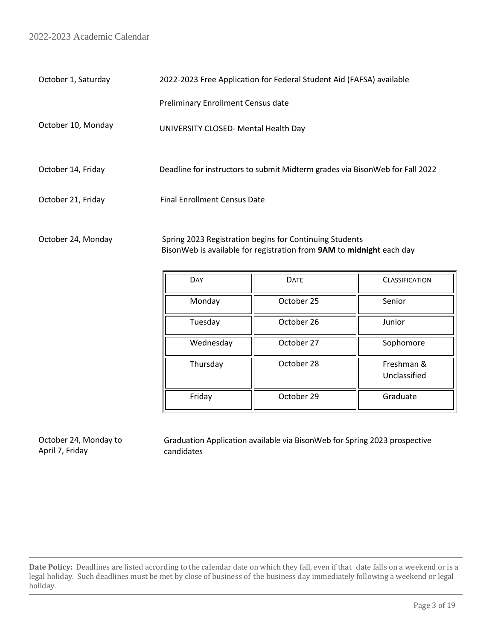| October 1, Saturday | 2022-2023 Free Application for Federal Student Aid (FAFSA) available         |  |  |
|---------------------|------------------------------------------------------------------------------|--|--|
|                     | <b>Preliminary Enrollment Census date</b>                                    |  |  |
| October 10, Monday  | UNIVERSITY CLOSED- Mental Health Day                                         |  |  |
| October 14, Friday  | Deadline for instructors to submit Midterm grades via BisonWeb for Fall 2022 |  |  |
| October 21, Friday  | <b>Final Enrollment Census Date</b>                                          |  |  |
|                     |                                                                              |  |  |

October 24, Monday Spring 2023 Registration begins for Continuing Students BisonWeb is available for registration from **9AM** to **midnight** each day

| DAY       | <b>DATE</b> | <b>CLASSIFICATION</b>      |
|-----------|-------------|----------------------------|
| Monday    | October 25  | Senior                     |
| Tuesday   | October 26  | Junior                     |
| Wednesday | October 27  | Sophomore                  |
| Thursday  | October 28  | Freshman &<br>Unclassified |
| Friday    | October 29  | Graduate                   |

October 24, Monday to April 7, Friday

Graduation Application available via BisonWeb for Spring 2023 prospective candidates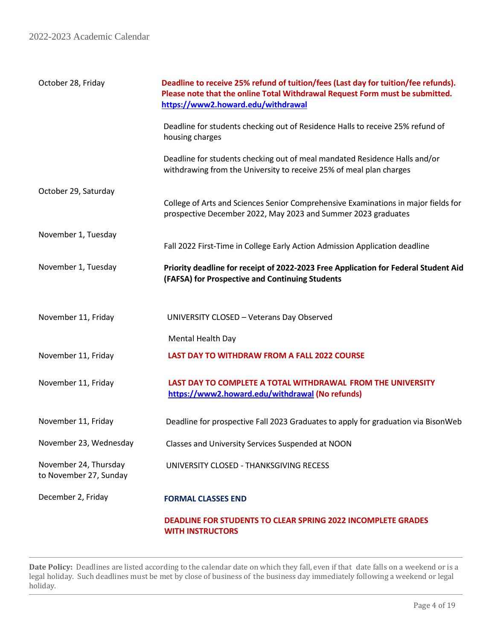| October 28, Friday                              | Deadline to receive 25% refund of tuition/fees (Last day for tuition/fee refunds).<br>Please note that the online Total Withdrawal Request Form must be submitted.<br>https://www2.howard.edu/withdrawal |  |
|-------------------------------------------------|----------------------------------------------------------------------------------------------------------------------------------------------------------------------------------------------------------|--|
|                                                 | Deadline for students checking out of Residence Halls to receive 25% refund of<br>housing charges                                                                                                        |  |
|                                                 | Deadline for students checking out of meal mandated Residence Halls and/or<br>withdrawing from the University to receive 25% of meal plan charges                                                        |  |
| October 29, Saturday                            | College of Arts and Sciences Senior Comprehensive Examinations in major fields for<br>prospective December 2022, May 2023 and Summer 2023 graduates                                                      |  |
| November 1, Tuesday                             | Fall 2022 First-Time in College Early Action Admission Application deadline                                                                                                                              |  |
| November 1, Tuesday                             | Priority deadline for receipt of 2022-2023 Free Application for Federal Student Aid<br>(FAFSA) for Prospective and Continuing Students                                                                   |  |
| November 11, Friday                             | UNIVERSITY CLOSED - Veterans Day Observed                                                                                                                                                                |  |
|                                                 | Mental Health Day                                                                                                                                                                                        |  |
| November 11, Friday                             | <b>LAST DAY TO WITHDRAW FROM A FALL 2022 COURSE</b>                                                                                                                                                      |  |
| November 11, Friday                             | LAST DAY TO COMPLETE A TOTAL WITHDRAWAL FROM THE UNIVERSITY<br>https://www2.howard.edu/withdrawal (No refunds)                                                                                           |  |
| November 11, Friday                             | Deadline for prospective Fall 2023 Graduates to apply for graduation via BisonWeb                                                                                                                        |  |
| November 23, Wednesday                          | Classes and University Services Suspended at NOON                                                                                                                                                        |  |
| November 24, Thursday<br>to November 27, Sunday | UNIVERSITY CLOSED - THANKSGIVING RECESS                                                                                                                                                                  |  |
| December 2, Friday                              | <b>FORMAL CLASSES END</b>                                                                                                                                                                                |  |
|                                                 | <b>DEADLINE FOR STUDENTS TO CLEAR SPRING 2022 INCOMPLETE GRADES</b><br><b>WITH INSTRUCTORS</b>                                                                                                           |  |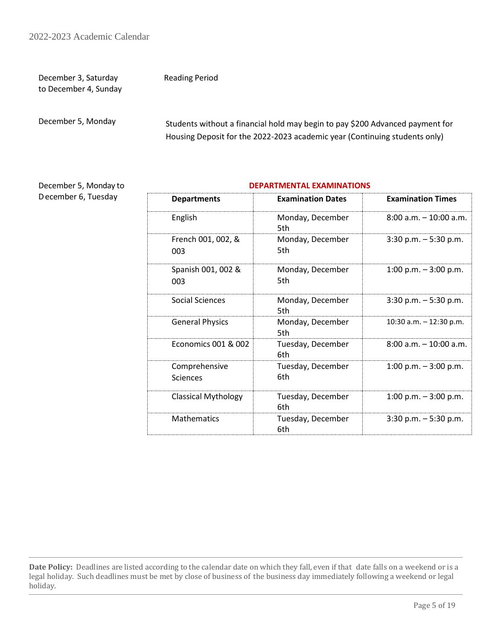December 3, Saturday to December 4, Sunday Reading Period

December 5, Monday

 Students without a financial hold may begin to pay \$200 Advanced payment for Housing Deposit for the 2022-2023 academic year (Continuing students only)

December 5, Monday to December 6, Tuesday

#### **DEPARTMENTAL EXAMINATIONS**

| <b>Departments</b>         | <b>Examination Dates</b> | <b>Examination Times</b>  |
|----------------------------|--------------------------|---------------------------|
| English                    | Monday, December<br>5th  | $8:00$ a.m. $-10:00$ a.m. |
| French 001, 002, &<br>003  | Monday, December<br>5th  | $3:30$ p.m. $-5:30$ p.m.  |
| Spanish 001, 002 &<br>003  | Monday, December<br>5th. | 1:00 p.m. $-3:00$ p.m.    |
| Social Sciences            | Monday, December<br>5th  | $3:30$ p.m. $-5:30$ p.m.  |
| <b>General Physics</b>     | Monday, December<br>5th  | 10:30 a.m. $-$ 12:30 p.m. |
| Economics 001 & 002        | Tuesday, December<br>6th | $8:00$ a.m. $-10:00$ a.m. |
| Comprehensive<br>Sciences  | Tuesday, December<br>6th | 1:00 p.m. $-3:00$ p.m.    |
| <b>Classical Mythology</b> | Tuesday, December<br>6th | $1:00$ p.m. $-3:00$ p.m.  |
| <b>Mathematics</b>         | Tuesday, December<br>6th | $3:30$ p.m. $-5:30$ p.m.  |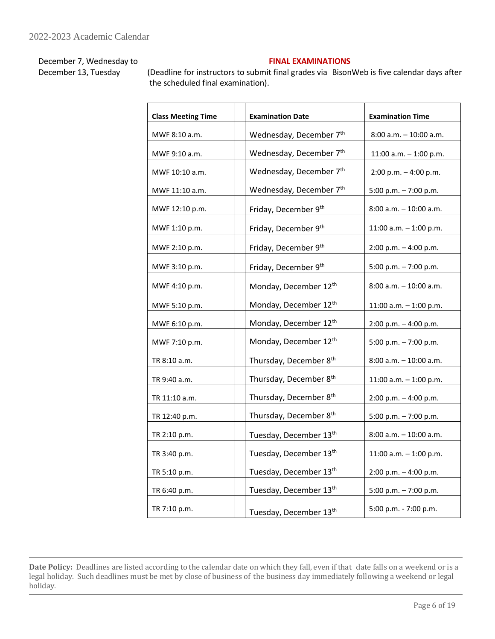# December 7, Wednesday to

December 13, Tuesday

# **FINAL EXAMINATIONS**

(Deadline for instructors to submit final grades via BisonWeb is five calendar days after the scheduled final examination).

| <b>Class Meeting Time</b> | <b>Examination Date</b>             | <b>Examination Time</b>   |  |
|---------------------------|-------------------------------------|---------------------------|--|
| MWF 8:10 a.m.             | Wednesday, December 7th             | 8:00 a.m. - 10:00 a.m.    |  |
| MWF 9:10 a.m.             | Wednesday, December 7 <sup>th</sup> | 11:00 a.m. $-$ 1:00 p.m.  |  |
| MWF 10:10 a.m.            | Wednesday, December 7 <sup>th</sup> | $2:00 p.m. - 4:00 p.m.$   |  |
| MWF 11:10 a.m.            | Wednesday, December 7th             | 5:00 p.m. $-7:00$ p.m.    |  |
| MWF 12:10 p.m.            | Friday, December 9th                | 8:00 a.m. - 10:00 a.m.    |  |
| MWF 1:10 p.m.             | Friday, December 9th                | 11:00 a.m. $-$ 1:00 p.m.  |  |
| MWF 2:10 p.m.             | Friday, December 9th                | $2:00 p.m. - 4:00 p.m.$   |  |
| MWF 3:10 p.m.             | Friday, December 9th                | 5:00 p.m. - 7:00 p.m.     |  |
| MWF 4:10 p.m.             | Monday, December 12th               | 8:00 a.m. - 10:00 a.m.    |  |
| MWF 5:10 p.m.             | Monday, December 12th               | 11:00 a.m. $-$ 1:00 p.m.  |  |
| MWF 6:10 p.m.             | Monday, December 12th               | 2:00 p.m. - 4:00 p.m.     |  |
| MWF 7:10 p.m.             | Monday, December 12th               | 5:00 p.m. - 7:00 p.m.     |  |
| TR 8:10 a.m.              | Thursday, December 8th              | $8:00$ a.m. $-10:00$ a.m. |  |
| TR 9:40 a.m.              | Thursday, December 8 <sup>th</sup>  | 11:00 a.m. $-$ 1:00 p.m.  |  |
| TR 11:10 a.m.             | Thursday, December 8 <sup>th</sup>  | 2:00 p.m. - 4:00 p.m.     |  |
| TR 12:40 p.m.             | Thursday, December 8 <sup>th</sup>  | 5:00 p.m. - 7:00 p.m.     |  |
| TR 2:10 p.m.              | Tuesday, December 13th              | $8:00$ a.m. $-10:00$ a.m. |  |
| TR 3:40 p.m.              | Tuesday, December 13th              | 11:00 a.m. $-$ 1:00 p.m.  |  |
| TR 5:10 p.m.              | Tuesday, December 13th              | 2:00 p.m. - 4:00 p.m.     |  |
| TR 6:40 p.m.              | Tuesday, December 13th              | 5:00 p.m. - 7:00 p.m.     |  |
| TR 7:10 p.m.              | Tuesday, December 13th              | 5:00 p.m. - 7:00 p.m.     |  |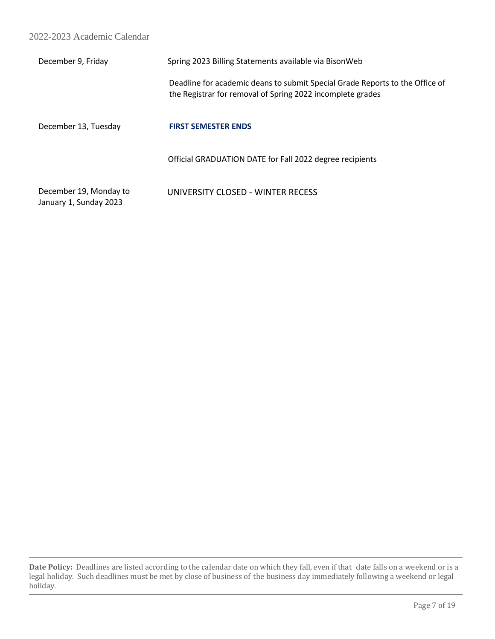| December 9, Friday                               | Spring 2023 Billing Statements available via BisonWeb                                                                                      |
|--------------------------------------------------|--------------------------------------------------------------------------------------------------------------------------------------------|
|                                                  | Deadline for academic deans to submit Special Grade Reports to the Office of<br>the Registrar for removal of Spring 2022 incomplete grades |
| December 13, Tuesday                             | <b>FIRST SEMESTER ENDS</b>                                                                                                                 |
|                                                  | Official GRADUATION DATE for Fall 2022 degree recipients                                                                                   |
| December 19, Monday to<br>January 1, Sunday 2023 | UNIVERSITY CLOSED - WINTER RECESS                                                                                                          |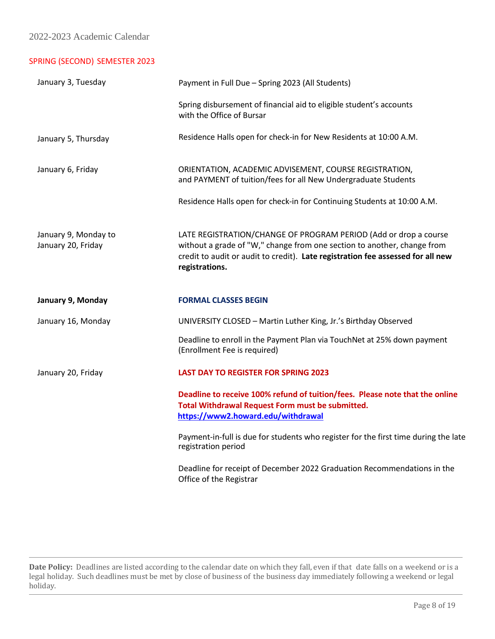# SPRING (SECOND) SEMESTER 2023

| January 3, Tuesday                         | Payment in Full Due - Spring 2023 (All Students)                                                                                                                                                                                                 |  |  |
|--------------------------------------------|--------------------------------------------------------------------------------------------------------------------------------------------------------------------------------------------------------------------------------------------------|--|--|
|                                            | Spring disbursement of financial aid to eligible student's accounts<br>with the Office of Bursar                                                                                                                                                 |  |  |
| January 5, Thursday                        | Residence Halls open for check-in for New Residents at 10:00 A.M.                                                                                                                                                                                |  |  |
| January 6, Friday                          | ORIENTATION, ACADEMIC ADVISEMENT, COURSE REGISTRATION,<br>and PAYMENT of tuition/fees for all New Undergraduate Students                                                                                                                         |  |  |
|                                            | Residence Halls open for check-in for Continuing Students at 10:00 A.M.                                                                                                                                                                          |  |  |
| January 9, Monday to<br>January 20, Friday | LATE REGISTRATION/CHANGE OF PROGRAM PERIOD (Add or drop a course<br>without a grade of "W," change from one section to another, change from<br>credit to audit or audit to credit). Late registration fee assessed for all new<br>registrations. |  |  |
|                                            |                                                                                                                                                                                                                                                  |  |  |
| January 9, Monday                          | <b>FORMAL CLASSES BEGIN</b>                                                                                                                                                                                                                      |  |  |
| January 16, Monday                         | UNIVERSITY CLOSED - Martin Luther King, Jr.'s Birthday Observed                                                                                                                                                                                  |  |  |
|                                            | Deadline to enroll in the Payment Plan via TouchNet at 25% down payment<br>(Enrollment Fee is required)                                                                                                                                          |  |  |
| January 20, Friday                         | <b>LAST DAY TO REGISTER FOR SPRING 2023</b>                                                                                                                                                                                                      |  |  |
|                                            | Deadline to receive 100% refund of tuition/fees. Please note that the online<br>Total Withdrawal Request Form must be submitted.<br>https://www2.howard.edu/withdrawal                                                                           |  |  |
|                                            | Payment-in-full is due for students who register for the first time during the late<br>registration period                                                                                                                                       |  |  |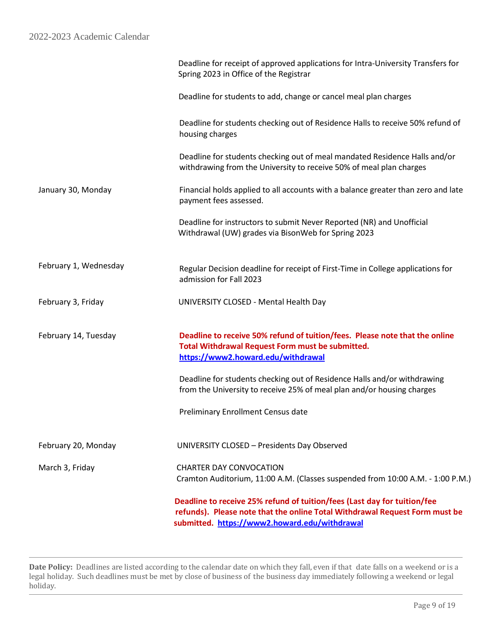|                       | Deadline to receive 25% refund of tuition/fees (Last day for tuition/fee<br>refunds). Please note that the online Total Withdrawal Request Form must be<br>submitted. https://www2.howard.edu/withdrawal |
|-----------------------|----------------------------------------------------------------------------------------------------------------------------------------------------------------------------------------------------------|
| March 3, Friday       | <b>CHARTER DAY CONVOCATION</b><br>Cramton Auditorium, 11:00 A.M. (Classes suspended from 10:00 A.M. - 1:00 P.M.)                                                                                         |
| February 20, Monday   | UNIVERSITY CLOSED - Presidents Day Observed                                                                                                                                                              |
|                       | <b>Preliminary Enrollment Census date</b>                                                                                                                                                                |
|                       | Deadline for students checking out of Residence Halls and/or withdrawing<br>from the University to receive 25% of meal plan and/or housing charges                                                       |
| February 14, Tuesday  | Deadline to receive 50% refund of tuition/fees. Please note that the online<br>Total Withdrawal Request Form must be submitted.<br>https://www2.howard.edu/withdrawal                                    |
| February 3, Friday    | UNIVERSITY CLOSED - Mental Health Day                                                                                                                                                                    |
| February 1, Wednesday | Regular Decision deadline for receipt of First-Time in College applications for<br>admission for Fall 2023                                                                                               |
|                       | Deadline for instructors to submit Never Reported (NR) and Unofficial<br>Withdrawal (UW) grades via BisonWeb for Spring 2023                                                                             |
| January 30, Monday    | Financial holds applied to all accounts with a balance greater than zero and late<br>payment fees assessed.                                                                                              |
|                       | Deadline for students checking out of meal mandated Residence Halls and/or<br>withdrawing from the University to receive 50% of meal plan charges                                                        |
|                       | Deadline for students checking out of Residence Halls to receive 50% refund of<br>housing charges                                                                                                        |
|                       | Deadline for students to add, change or cancel meal plan charges                                                                                                                                         |
|                       | Deadline for receipt of approved applications for Intra-University Transfers for<br>Spring 2023 in Office of the Registrar                                                                               |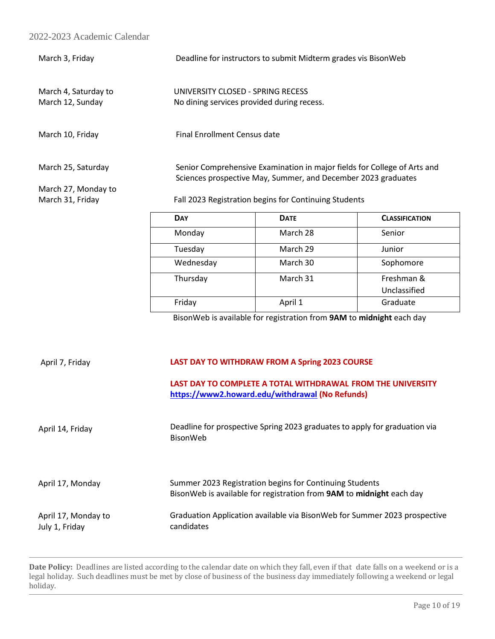| March 3, Friday                          | Deadline for instructors to submit Midterm grades vis BisonWeb                                                                            |                                                                                 |                       |  |
|------------------------------------------|-------------------------------------------------------------------------------------------------------------------------------------------|---------------------------------------------------------------------------------|-----------------------|--|
| March 4, Saturday to<br>March 12, Sunday |                                                                                                                                           | UNIVERSITY CLOSED - SPRING RECESS<br>No dining services provided during recess. |                       |  |
| March 10, Friday                         | Final Enrollment Census date                                                                                                              |                                                                                 |                       |  |
| March 25, Saturday                       | Senior Comprehensive Examination in major fields for College of Arts and<br>Sciences prospective May, Summer, and December 2023 graduates |                                                                                 |                       |  |
| March 27, Monday to                      |                                                                                                                                           |                                                                                 |                       |  |
| March 31, Friday                         |                                                                                                                                           | Fall 2023 Registration begins for Continuing Students                           |                       |  |
|                                          | <b>DAY</b>                                                                                                                                | <b>DATE</b>                                                                     | <b>CLASSIFICATION</b> |  |
|                                          | Monday                                                                                                                                    | March 28                                                                        | Senior                |  |

| Monday    | March 28 | Senior       |
|-----------|----------|--------------|
| Tuesday   | March 29 | Junior       |
| Wednesday | March 30 | Sophomore    |
| Thursday  | March 31 | Freshman &   |
|           |          | Unclassified |
| Friday    | April 1  | Graduate     |

BisonWeb is available for registration from **9AM** to **midnight** each day

# April 7, Friday April 14, Friday **LAST DAY TO WITHDRAW FROM A Spring 2023 COURSE LAST DAY TO COMPLETE A TOTAL WITHDRAWAL FROM THE UNIVERSITY <https://www2.howard.edu/withdrawal> (No Refunds)** Deadline for prospective Spring 2023 graduates to apply for graduation via BisonWeb April 17, Monday **Summer 2023 Registration begins for Continuing Students** BisonWeb is available for registration from **9AM** to **midnight** each day April 17, Monday to July 1, Friday Graduation Application available via BisonWeb for Summer 2023 prospective candidates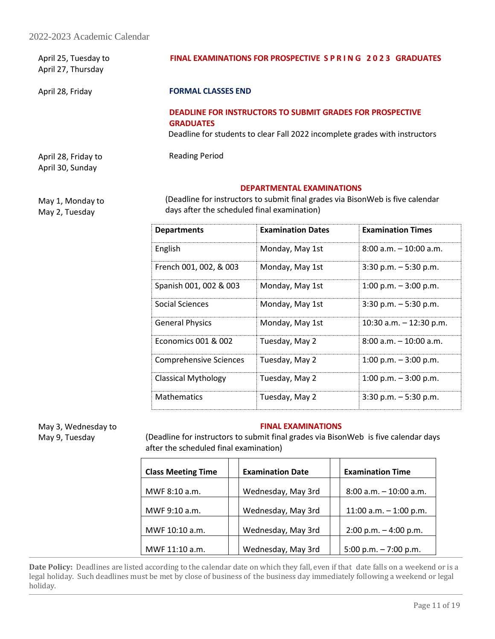| April 25, Tuesday to<br>April 27, Thursday | FINAL EXAMINATIONS FOR PROSPECTIVE S P R I N G 2023 GRADUATES                        |  |
|--------------------------------------------|--------------------------------------------------------------------------------------|--|
| April 28, Friday                           | <b>FORMAL CLASSES END</b>                                                            |  |
|                                            | <b>DEADLINE FOR INSTRUCTORS TO SUBMIT GRADES FOR PROSPECTIVE</b><br><b>GRADUATES</b> |  |
|                                            | Deadline for students to clear Fall 2022 incomplete grades with instructors          |  |
| April 28, Friday to                        | <b>Reading Period</b>                                                                |  |

### **DEPARTMENTAL EXAMINATIONS**

May 1, Monday to May 2, Tuesday

April 30, Sunday

 (Deadline for instructors to submit final grades via BisonWeb is five calendar days after the scheduled final examination)

| <b>Departments</b>            | <b>Examination Dates</b> | <b>Examination Times</b>  |
|-------------------------------|--------------------------|---------------------------|
| English                       | Monday, May 1st          | $8:00$ a.m. $-10:00$ a.m. |
| French 001, 002, & 003        | Monday, May 1st          | $3:30$ p.m. $-5:30$ p.m.  |
| Spanish 001, 002 & 003        | Monday, May 1st          | $1:00$ p.m. $-3:00$ p.m.  |
| Social Sciences               | Monday, May 1st          | $3:30$ p.m. $-5:30$ p.m.  |
| <b>General Physics</b>        | Monday, May 1st          | 10:30 a.m. $-$ 12:30 p.m. |
| Economics 001 & 002           | Tuesday, May 2           | $8:00$ a.m. $-10:00$ a.m. |
| <b>Comprehensive Sciences</b> | Tuesday, May 2           | $1:00$ p.m. $-3:00$ p.m.  |
| <b>Classical Mythology</b>    | Tuesday, May 2           | $1:00$ p.m. $-3:00$ p.m.  |
| <b>Mathematics</b>            | Tuesday, May 2           | $3:30$ p.m. $-5:30$ p.m.  |

May 3, Wednesday to May 9, Tuesday

### **FINAL EXAMINATIONS**

(Deadline for instructors to submit final grades via BisonWeb is five calendar days after the scheduled final examination)

| <b>Class Meeting Time</b> | <b>Examination Date</b> | <b>Examination Time</b>  |
|---------------------------|-------------------------|--------------------------|
| MWF 8:10 a.m.             | Wednesday, May 3rd      | 8:00 a.m. - 10:00 a.m.   |
| MWF 9:10 a.m.             | Wednesday, May 3rd      | 11:00 a.m. $-$ 1:00 p.m. |
| MWF 10:10 a.m.            | Wednesday, May 3rd      | $2:00$ p.m. $-4:00$ p.m. |
| MWF 11:10 a.m.            | Wednesday, May 3rd      | 5:00 p.m. $-7:00$ p.m.   |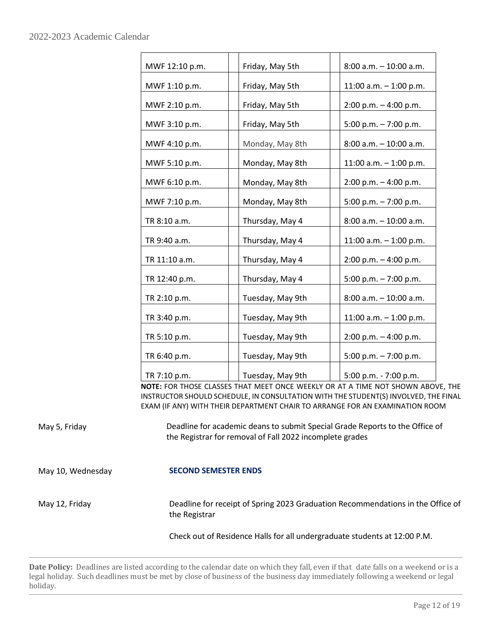| MWF 12:10 p.m. | Friday, May 5th  | $8:00$ a.m. $-10:00$ a.m. |
|----------------|------------------|---------------------------|
| MWF 1:10 p.m.  | Friday, May 5th  | 11:00 a.m. $-$ 1:00 p.m.  |
| MWF 2:10 p.m.  | Friday, May 5th  | $2:00$ p.m. $-4:00$ p.m.  |
| MWF 3:10 p.m.  | Friday, May 5th  | 5:00 p.m. $- 7:00$ p.m.   |
| MWF 4:10 p.m.  | Monday, May 8th  | 8:00 a.m. - 10:00 a.m.    |
| MWF 5:10 p.m.  | Monday, May 8th  | 11:00 a.m. $-$ 1:00 p.m.  |
| MWF 6:10 p.m.  | Monday, May 8th  | $2:00$ p.m. $-4:00$ p.m.  |
| MWF 7:10 p.m.  | Monday, May 8th  | 5:00 p.m. $-7:00$ p.m.    |
| TR 8:10 a.m.   | Thursday, May 4  | 8:00 a.m. - 10:00 a.m.    |
| TR 9:40 a.m.   | Thursday, May 4  | 11:00 a.m. $-$ 1:00 p.m.  |
| TR 11:10 a.m.  | Thursday, May 4  | $2:00$ p.m. $-4:00$ p.m.  |
| TR 12:40 p.m.  | Thursday, May 4  | 5:00 p.m. $-7:00$ p.m.    |
| TR 2:10 p.m.   | Tuesday, May 9th | $8:00$ a.m. $-10:00$ a.m. |
| TR 3:40 p.m.   | Tuesday, May 9th | 11:00 a.m. $-$ 1:00 p.m.  |
| TR 5:10 p.m.   | Tuesday, May 9th | $2:00$ p.m. $-4:00$ p.m.  |
| TR 6:40 p.m.   | Tuesday, May 9th | 5:00 p.m. $-7:00$ p.m.    |
| TR 7:10 p.m.   | Tuesday, May 9th | 5:00 p.m. - 7:00 p.m.     |

**NOTE:** FOR THOSE CLASSES THAT MEET ONCE WEEKLY OR AT A TIME NOT SHOWN ABOVE, THE INSTRUCTOR SHOULD SCHEDULE, IN CONSULTATION WITH THE STUDENT(S) INVOLVED, THE FINAL EXAM (IF ANY) WITH THEIR DEPARTMENT CHAIR TO ARRANGE FOR AN EXAMINATION ROOM

May 5, Friday Many 19, Peadline for academic deans to submit Special Grade Reports to the Office of the Registrar for removal of Fall 2022 incomplete grades

May 10, Wednesday **SECOND SEMESTER ENDS** 

May 12, Friday **Deadline for receipt of Spring 2023 Graduation Recommendations in the Office of** the Registrar

Check out of Residence Halls for all undergraduate students at 12:00 P.M.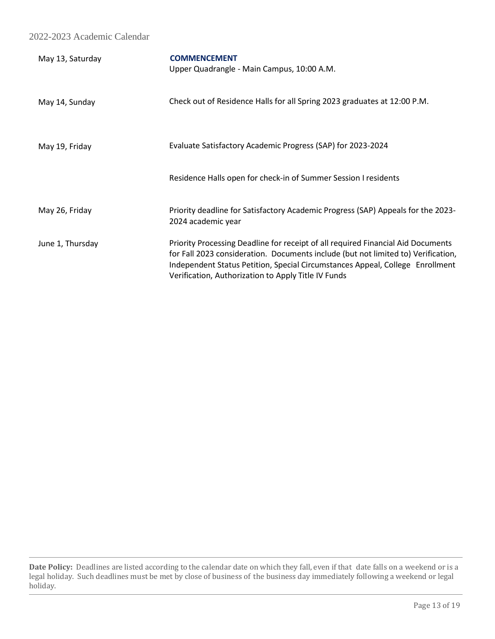| May 13, Saturday | <b>COMMENCEMENT</b><br>Upper Quadrangle - Main Campus, 10:00 A.M.                                                                                                                                                                                                                                             |
|------------------|---------------------------------------------------------------------------------------------------------------------------------------------------------------------------------------------------------------------------------------------------------------------------------------------------------------|
| May 14, Sunday   | Check out of Residence Halls for all Spring 2023 graduates at 12:00 P.M.                                                                                                                                                                                                                                      |
| May 19, Friday   | Evaluate Satisfactory Academic Progress (SAP) for 2023-2024                                                                                                                                                                                                                                                   |
|                  | Residence Halls open for check-in of Summer Session I residents                                                                                                                                                                                                                                               |
| May 26, Friday   | Priority deadline for Satisfactory Academic Progress (SAP) Appeals for the 2023-<br>2024 academic year                                                                                                                                                                                                        |
| June 1, Thursday | Priority Processing Deadline for receipt of all required Financial Aid Documents<br>for Fall 2023 consideration. Documents include (but not limited to) Verification,<br>Independent Status Petition, Special Circumstances Appeal, College Enrollment<br>Verification, Authorization to Apply Title IV Funds |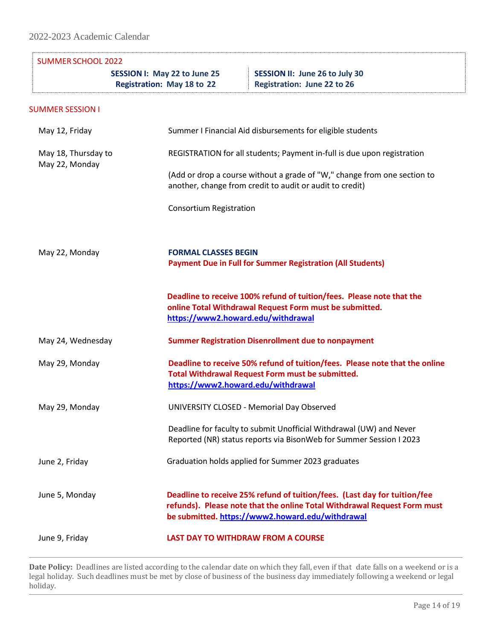| <b>SUMMER SCHOOL 2022</b>             |                                                                   |                                                                                                                                                                                                           |
|---------------------------------------|-------------------------------------------------------------------|-----------------------------------------------------------------------------------------------------------------------------------------------------------------------------------------------------------|
|                                       | SESSION I: May 22 to June 25<br><b>Registration: May 18 to 22</b> | SESSION II: June 26 to July 30<br><b>Registration: June 22 to 26</b>                                                                                                                                      |
| <b>SUMMER SESSION I</b>               |                                                                   |                                                                                                                                                                                                           |
| May 12, Friday                        |                                                                   | Summer I Financial Aid disbursements for eligible students                                                                                                                                                |
| May 18, Thursday to<br>May 22, Monday |                                                                   | REGISTRATION for all students; Payment in-full is due upon registration                                                                                                                                   |
|                                       |                                                                   | (Add or drop a course without a grade of "W," change from one section to<br>another, change from credit to audit or audit to credit)                                                                      |
|                                       | <b>Consortium Registration</b>                                    |                                                                                                                                                                                                           |
| May 22, Monday                        | <b>FORMAL CLASSES BEGIN</b>                                       | <b>Payment Due in Full for Summer Registration (All Students)</b>                                                                                                                                         |
|                                       | https://www2.howard.edu/withdrawal                                | Deadline to receive 100% refund of tuition/fees. Please note that the<br>online Total Withdrawal Request Form must be submitted.                                                                          |
| May 24, Wednesday                     |                                                                   | <b>Summer Registration Disenrollment due to nonpayment</b>                                                                                                                                                |
| May 29, Monday                        | https://www2.howard.edu/withdrawal                                | Deadline to receive 50% refund of tuition/fees. Please note that the online<br>Total Withdrawal Request Form must be submitted.                                                                           |
| May 29, Monday                        | UNIVERSITY CLOSED - Memorial Day Observed                         |                                                                                                                                                                                                           |
|                                       |                                                                   | Deadline for faculty to submit Unofficial Withdrawal (UW) and Never<br>Reported (NR) status reports via BisonWeb for Summer Session I 2023                                                                |
| June 2, Friday                        |                                                                   | Graduation holds applied for Summer 2023 graduates                                                                                                                                                        |
| June 5, Monday                        |                                                                   | Deadline to receive 25% refund of tuition/fees. (Last day for tuition/fee<br>refunds). Please note that the online Total Withdrawal Request Form must<br>be submitted. https://www2.howard.edu/withdrawal |
| June 9, Friday                        | <b>LAST DAY TO WITHDRAW FROM A COURSE</b>                         |                                                                                                                                                                                                           |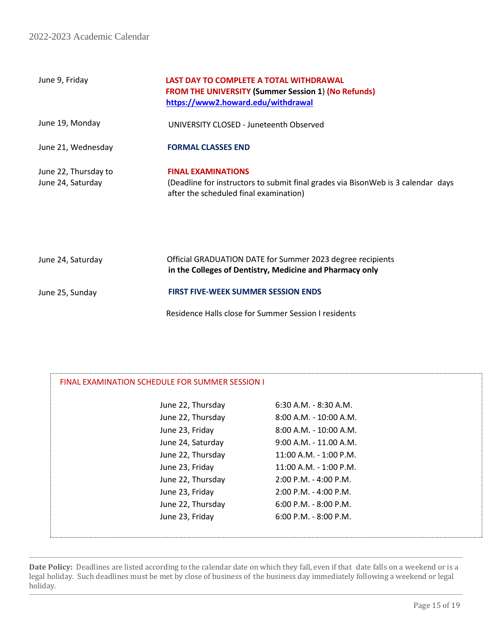| June 9, Friday                            | LAST DAY TO COMPLETE A TOTAL WITHDRAWAL<br><b>FROM THE UNIVERSITY (Summer Session 1) (No Refunds)</b><br>https://www2.howard.edu/withdrawal             |
|-------------------------------------------|---------------------------------------------------------------------------------------------------------------------------------------------------------|
| June 19, Monday                           | UNIVERSITY CLOSED - Juneteenth Observed                                                                                                                 |
| June 21, Wednesday                        | <b>FORMAL CLASSES END</b>                                                                                                                               |
| June 22, Thursday to<br>June 24, Saturday | <b>FINAL EXAMINATIONS</b><br>(Deadline for instructors to submit final grades via BisonWeb is 3 calendar days<br>after the scheduled final examination) |

| June 24, Saturday | Official GRADUATION DATE for Summer 2023 degree recipients<br>in the Colleges of Dentistry, Medicine and Pharmacy only |
|-------------------|------------------------------------------------------------------------------------------------------------------------|
| June 25, Sunday   | <b>FIRST FIVE-WEEK SUMMER SESSION ENDS</b>                                                                             |
|                   | Residence Halls close for Summer Session I residents                                                                   |

| FINAL EXAMINATION SCHEDULE FOR SUMMER SESSION I |                           |  |
|-------------------------------------------------|---------------------------|--|
| June 22, Thursday                               | 6:30 A.M. - 8:30 A.M.     |  |
| June 22, Thursday                               | 8:00 A.M. - 10:00 A.M.    |  |
| June 23, Friday                                 | 8:00 A.M. - 10:00 A.M.    |  |
| June 24, Saturday                               | $9:00$ A.M. - 11.00 A.M.  |  |
| June 22, Thursday                               | 11:00 A.M. - 1:00 P.M.    |  |
| June 23, Friday                                 | $11:00$ A.M. - 1:00 P.M.  |  |
| June 22, Thursday                               | $2:00$ P.M. - 4:00 P.M.   |  |
| June 23, Friday                                 | $2:00$ P.M. - 4:00 P.M.   |  |
| June 22, Thursday                               | $6:00$ P.M. - 8:00 P.M.   |  |
| June 23, Friday                                 | $6:00$ P.M. - $8:00$ P.M. |  |
|                                                 |                           |  |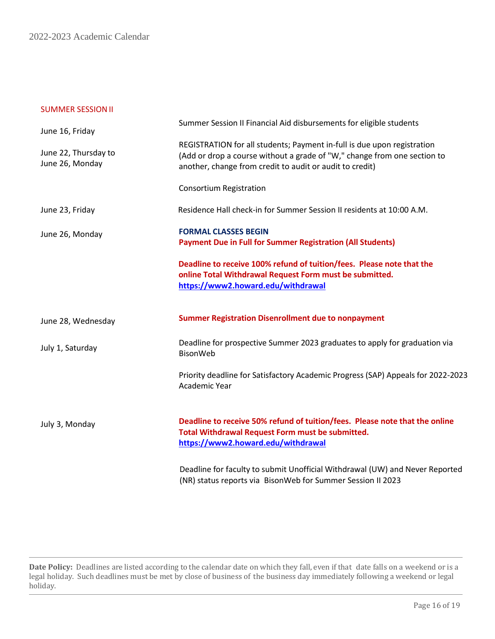#### SUMMER SESSIONII

| June 16, Friday                         | Summer Session II Financial Aid disbursements for eligible students                                                                                                                                             |
|-----------------------------------------|-----------------------------------------------------------------------------------------------------------------------------------------------------------------------------------------------------------------|
| June 22, Thursday to<br>June 26, Monday | REGISTRATION for all students; Payment in-full is due upon registration<br>(Add or drop a course without a grade of "W," change from one section to<br>another, change from credit to audit or audit to credit) |
|                                         | <b>Consortium Registration</b>                                                                                                                                                                                  |
| June 23, Friday                         | Residence Hall check-in for Summer Session II residents at 10:00 A.M.                                                                                                                                           |
| June 26, Monday                         | <b>FORMAL CLASSES BEGIN</b><br><b>Payment Due in Full for Summer Registration (All Students)</b>                                                                                                                |
|                                         | Deadline to receive 100% refund of tuition/fees. Please note that the<br>online Total Withdrawal Request Form must be submitted.<br>https://www2.howard.edu/withdrawal                                          |
| June 28, Wednesday                      | <b>Summer Registration Disenrollment due to nonpayment</b>                                                                                                                                                      |
| July 1, Saturday                        | Deadline for prospective Summer 2023 graduates to apply for graduation via<br>BisonWeb                                                                                                                          |
|                                         | Priority deadline for Satisfactory Academic Progress (SAP) Appeals for 2022-2023<br>Academic Year                                                                                                               |
| July 3, Monday                          | Deadline to receive 50% refund of tuition/fees. Please note that the online<br>Total Withdrawal Request Form must be submitted.<br>https://www2.howard.edu/withdrawal                                           |
|                                         | Deadline for faculty to submit Unofficial Withdrawal (UW) and Never Reported<br>(NR) status reports via BisonWeb for Summer Session II 2023                                                                     |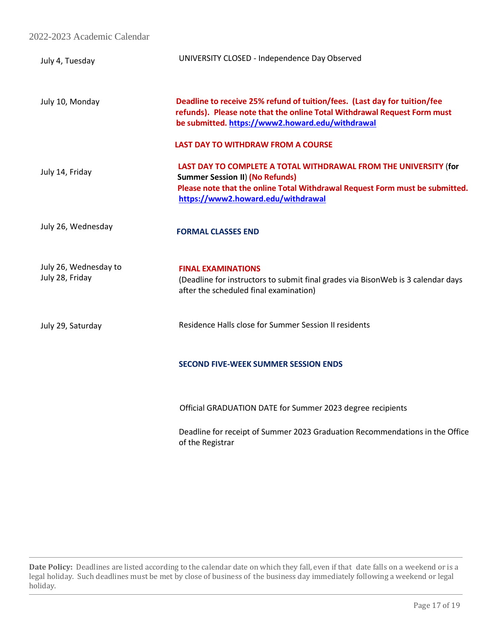| July 4, Tuesday                          | UNIVERSITY CLOSED - Independence Day Observed                                                                                                                                                                                    |
|------------------------------------------|----------------------------------------------------------------------------------------------------------------------------------------------------------------------------------------------------------------------------------|
| July 10, Monday                          | Deadline to receive 25% refund of tuition/fees. (Last day for tuition/fee<br>refunds). Please note that the online Total Withdrawal Request Form must<br>be submitted. https://www2.howard.edu/withdrawal                        |
|                                          | <b>LAST DAY TO WITHDRAW FROM A COURSE</b>                                                                                                                                                                                        |
| July 14, Friday                          | LAST DAY TO COMPLETE A TOTAL WITHDRAWAL FROM THE UNIVERSITY (for<br><b>Summer Session II) (No Refunds)</b><br>Please note that the online Total Withdrawal Request Form must be submitted.<br>https://www2.howard.edu/withdrawal |
| July 26, Wednesday                       | <b>FORMAL CLASSES END</b>                                                                                                                                                                                                        |
| July 26, Wednesday to<br>July 28, Friday | <b>FINAL EXAMINATIONS</b><br>(Deadline for instructors to submit final grades via BisonWeb is 3 calendar days<br>after the scheduled final examination)                                                                          |
| July 29, Saturday                        | Residence Halls close for Summer Session II residents                                                                                                                                                                            |
|                                          | <b>SECOND FIVE-WEEK SUMMER SESSION ENDS</b>                                                                                                                                                                                      |
|                                          | Official GRADUATION DATE for Summer 2023 degree recipients                                                                                                                                                                       |
|                                          | Deadline for receipt of Summer 2023 Graduation Recommendations in the Office<br>of the Registrar                                                                                                                                 |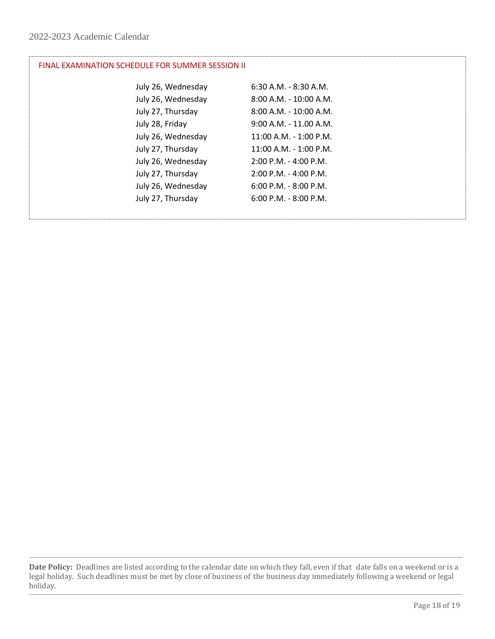# FINAL EXAMINATION SCHEDULE FOR SUMMER SESSION II

| July 26, Wednesday | $6:30$ A.M. - $8:30$ A.M. |
|--------------------|---------------------------|
| July 26, Wednesday | $8:00$ A.M. - 10:00 A.M.  |
| July 27, Thursday  | 8:00 A.M. - 10:00 A.M.    |
| July 28, Friday    | $9:00$ A.M. - 11.00 A.M.  |
| July 26, Wednesday | 11:00 A.M. - 1:00 P.M.    |
| July 27, Thursday  | 11:00 A.M. - 1:00 P.M.    |
| July 26, Wednesday | $2:00$ P.M. - 4:00 P.M.   |
| July 27, Thursday  | $2:00$ P.M. - 4:00 P.M.   |
| July 26, Wednesday | $6:00$ P.M. - $8:00$ P.M. |
| July 27, Thursday  | $6:00$ P.M. - $8:00$ P.M. |
|                    |                           |